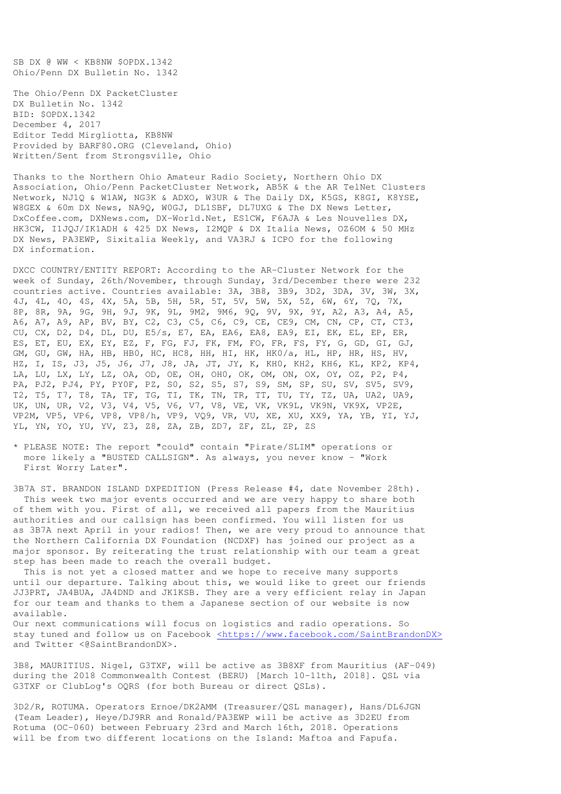SB DX @ WW < KB8NW \$OPDX.1342 Ohio/Penn DX Bulletin No. 1342

The Ohio/Penn DX PacketCluster DX Bulletin No. 1342 BID: \$OPDX.1342 December 4, 2017 Editor Tedd Mirgliotta, KB8NW Provided by BARF80.ORG (Cleveland, Ohio) Written/Sent from Strongsville, Ohio

Thanks to the Northern Ohio Amateur Radio Society, Northern Ohio DX Association, Ohio/Penn PacketCluster Network, AB5K & the AR TelNet Clusters Network, NJ1Q & W1AW, NG3K & ADXO, W3UR & The Daily DX, K5GS, K8GI, K8YSE, W8GEX & 60m DX News, NA9Q, W0GJ, DL1SBF, DL7UXG & The DX News Letter, DxCoffee.com, DXNews.com, DX-World.Net, ES1CW, F6AJA & Les Nouvelles DX, HK3CW, I1JQJ/IK1ADH & 425 DX News, I2MQP & DX Italia News, OZ6OM & 50 MHz DX News, PA3EWP, Sixitalia Weekly, and VA3RJ & ICPO for the following DX information.

DXCC COUNTRY/ENTITY REPORT: According to the AR-Cluster Network for the week of Sunday, 26th/November, through Sunday, 3rd/December there were 232 countries active. Countries available: 3A, 3B8, 3B9, 3D2, 3DA, 3V, 3W, 3X, 4J, 4L, 4O, 4S, 4X, 5A, 5B, 5H, 5R, 5T, 5V, 5W, 5X, 5Z, 6W, 6Y, 7Q, 7X, 8P, 8R, 9A, 9G, 9H, 9J, 9K, 9L, 9M2, 9M6, 9Q, 9V, 9X, 9Y, A2, A3, A4, A5, A6, A7, A9, AP, BV, BY, C2, C3, C5, C6, C9, CE, CE9, CM, CN, CP, CT, CT3, CU, CX, D2, D4, DL, DU, E5/s, E7, EA, EA6, EA8, EA9, EI, EK, EL, EP, ER, ES, ET, EU, EX, EY, EZ, F, FG, FJ, FK, FM, FO, FR, FS, FY, G, GD, GI, GJ, GM, GU, GW, HA, HB, HB0, HC, HC8, HH, HI, HK, HK0/a, HL, HP, HR, HS, HV, HZ, I, IS, J3, J5, J6, J7, J8, JA, JT, JY, K, KH0, KH2, KH6, KL, KP2, KP4, LA, LU, LX, LY, LZ, OA, OD, OE, OH, OH0, OK, OM, ON, OX, OY, OZ, P2, P4, PA, PJ2, PJ4, PY, PY0F, PZ, S0, S2, S5, S7, S9, SM, SP, SU, SV, SV5, SV9, T2, T5, T7, T8, TA, TF, TG, TI, TK, TN, TR, TT, TU, TY, TZ, UA, UA2, UA9, UK, UN, UR, V2, V3, V4, V5, V6, V7, V8, VE, VK, VK9L, VK9N, VK9X, VP2E, VP2M, VP5, VP6, VP8, VP8/h, VP9, VQ9, VR, VU, XE, XU, XX9, YA, YB, YI, YJ, YL, YN, YO, YU, YV, Z3, Z8, ZA, ZB, ZD7, ZF, ZL, ZP, ZS

\* PLEASE NOTE: The report "could" contain "Pirate/SLIM" operations or more likely a "BUSTED CALLSIGN". As always, you never know - "Work First Worry Later".

3B7A ST. BRANDON ISLAND DXPEDITION (Press Release #4, date November 28th). This week two major events occurred and we are very happy to share both of them with you. First of all, we received all papers from the Mauritius authorities and our callsign has been confirmed. You will listen for us as 3B7A next April in your radios! Then, we are very proud to announce that the Northern California DX Foundation (NCDXF) has joined our project as a major sponsor. By reiterating the trust relationship with our team a great step has been made to reach the overall budget.

 This is not yet a closed matter and we hope to receive many supports until our departure. Talking about this, we would like to greet our friends JJ3PRT, JA4BUA, JA4DND and JK1KSB. They are a very efficient relay in Japan for our team and thanks to them a Japanese section of our website is now available.

Our next communications will focus on logistics and radio operations. So stay tuned and follow us on Facebook <https://www.facebook.com/SaintBrandonDX> and Twitter <@SaintBrandonDX>.

3B8, MAURITIUS. Nigel, G3TXF, will be active as 3B8XF from Mauritius (AF-049) during the 2018 Commonwealth Contest (BERU) [March 10-11th, 2018]. QSL via G3TXF or ClubLog's OQRS (for both Bureau or direct QSLs).

3D2/R, ROTUMA. Operators Ernoe/DK2AMM (Treasurer/QSL manager), Hans/DL6JGN (Team Leader), Heye/DJ9RR and Ronald/PA3EWP will be active as 3D2EU from Rotuma (OC-060) between February 23rd and March 16th, 2018. Operations will be from two different locations on the Island: Maftoa and Fapufa.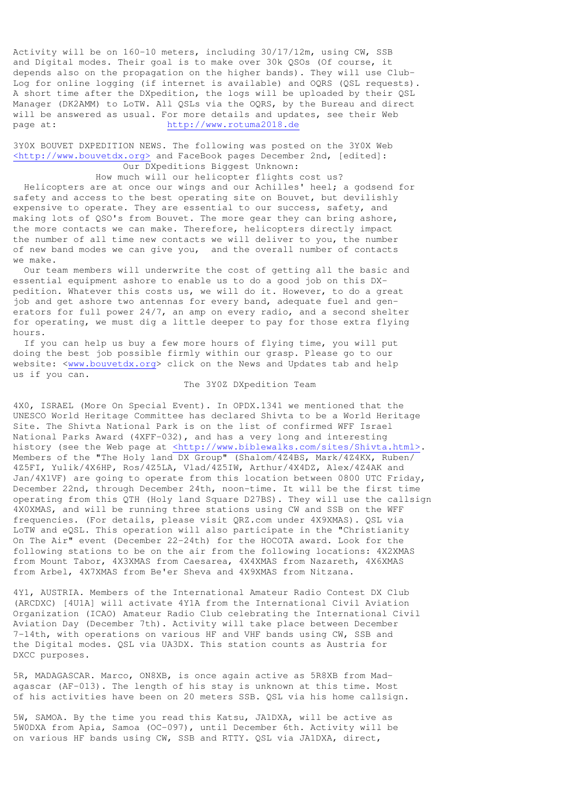Activity will be on 160-10 meters, including 30/17/12m, using CW, SSB and Digital modes. Their goal is to make over 30k QSOs (Of course, it depends also on the propagation on the higher bands). They will use Club-Log for online logging (if internet is available) and OQRS (QSL requests). A short time after the DXpedition, the logs will be uploaded by their QSL Manager (DK2AMM) to LoTW. All QSLs via the OQRS, by the Bureau and direct will be answered as usual. For more details and updates, see their Web page at: http://www.rotuma2018.de

3Y0X BOUVET DXPEDITION NEWS. The following was posted on the 3Y0X Web <http://www.bouvetdx.org> and FaceBook pages December 2nd, [edited]: Our DXpeditions Biggest Unknown:

 How much will our helicopter flights cost us? Helicopters are at once our wings and our Achilles' heel; a godsend for safety and access to the best operating site on Bouvet, but devilishly expensive to operate. They are essential to our success, safety, and making lots of QSO's from Bouvet. The more gear they can bring ashore, the more contacts we can make. Therefore, helicopters directly impact the number of all time new contacts we will deliver to you, the number of new band modes we can give you, and the overall number of contacts we make.

 Our team members will underwrite the cost of getting all the basic and essential equipment ashore to enable us to do a good job on this DXpedition. Whatever this costs us, we will do it. However, to do a great job and get ashore two antennas for every band, adequate fuel and generators for full power 24/7, an amp on every radio, and a second shelter for operating, we must dig a little deeper to pay for those extra flying hours.

 If you can help us buy a few more hours of flying time, you will put doing the best job possible firmly within our grasp. Please go to our website: <www.bouvetdx.org> click on the News and Updates tab and help us if you can.

## The 3Y0Z DXpedition Team

4X0, ISRAEL (More On Special Event). In OPDX.1341 we mentioned that the UNESCO World Heritage Committee has declared Shivta to be a World Heritage Site. The Shivta National Park is on the list of confirmed WFF Israel National Parks Award (4XFF-032), and has a very long and interesting history (see the Web page at <http://www.biblewalks.com/sites/Shivta.html>. Members of the "The Holy land DX Group" (Shalom/4Z4BS, Mark/4Z4KX, Ruben/ 4Z5FI, Yulik/4X6HP, Ros/4Z5LA, Vlad/4Z5IW, Arthur/4X4DZ, Alex/4Z4AK and Jan/4X1VF) are going to operate from this location between 0800 UTC Friday, December 22nd, through December 24th, noon-time. It will be the first time operating from this QTH (Holy land Square D27BS). They will use the callsign 4X0XMAS, and will be running three stations using CW and SSB on the WFF frequencies. (For details, please visit QRZ.com under 4X9XMAS). QSL via LoTW and eQSL. This operation will also participate in the "Christianity On The Air" event (December 22-24th) for the HOCOTA award. Look for the following stations to be on the air from the following locations: 4X2XMAS from Mount Tabor, 4X3XMAS from Caesarea, 4X4XMAS from Nazareth, 4X6XMAS from Arbel, 4X7XMAS from Be'er Sheva and 4X9XMAS from Nitzana.

4Y1, AUSTRIA. Members of the International Amateur Radio Contest DX Club (ARCDXC) [4U1A] will activate 4Y1A from the International Civil Aviation Organization (ICAO) Amateur Radio Club celebrating the International Civil Aviation Day (December 7th). Activity will take place between December 7-14th, with operations on various HF and VHF bands using CW, SSB and the Digital modes. QSL via UA3DX. This station counts as Austria for DXCC purposes.

5R, MADAGASCAR. Marco, ON8XB, is once again active as 5R8XB from Madagascar (AF-013). The length of his stay is unknown at this time. Most of his activities have been on 20 meters SSB. QSL via his home callsign.

5W, SAMOA. By the time you read this Katsu, JA1DXA, will be active as 5W0DXA from Apia, Samoa (OC-097), until December 6th. Activity will be on various HF bands using CW, SSB and RTTY. QSL via JA1DXA, direct,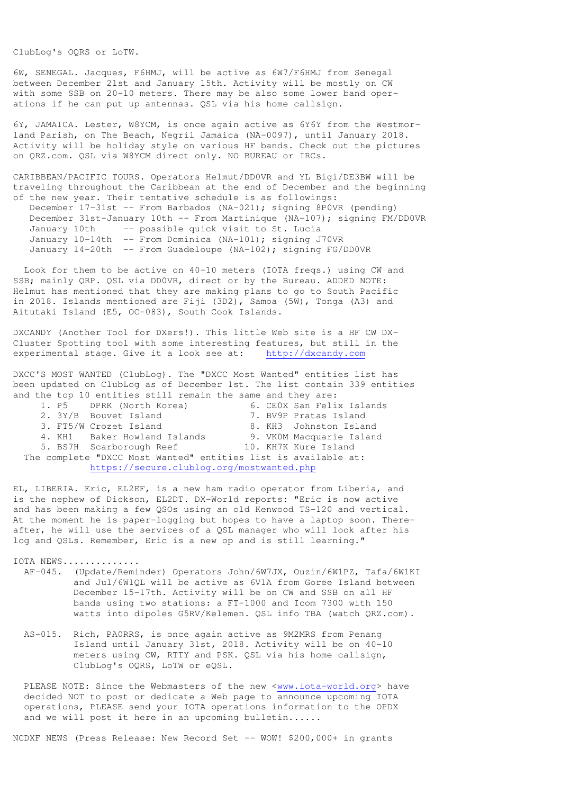ClubLog's OQRS or LoTW.

6W, SENEGAL. Jacques, F6HMJ, will be active as 6W7/F6HMJ from Senegal between December 21st and January 15th. Activity will be mostly on CW with some SSB on 20-10 meters. There may be also some lower band operations if he can put up antennas. QSL via his home callsign.

6Y, JAMAICA. Lester, W8YCM, is once again active as 6Y6Y from the Westmorland Parish, on The Beach, Negril Jamaica (NA-0097), until January 2018. Activity will be holiday style on various HF bands. Check out the pictures on QRZ.com. QSL via W8YCM direct only. NO BUREAU or IRCs.

CARIBBEAN/PACIFIC TOURS. Operators Helmut/DD0VR and YL Bigi/DE3BW will be traveling throughout the Caribbean at the end of December and the beginning of the new year. Their tentative schedule is as followings:

 December 17-31st -- From Barbados (NA-021); signing 8P0VR (pending) December 31st-January 10th -- From Martinique (NA-107); signing FM/DD0VR January 10th -- possible quick visit to St. Lucia January 10-14th -- From Dominica (NA-101); signing J70VR January 14-20th -- From Guadeloupe (NA-102); signing FG/DD0VR

 Look for them to be active on 40-10 meters (IOTA freqs.) using CW and SSB; mainly QRP. QSL via DD0VR, direct or by the Bureau. ADDED NOTE: Helmut has mentioned that they are making plans to go to South Pacific in 2018. Islands mentioned are Fiji (3D2), Samoa (5W), Tonga (A3) and Aitutaki Island (E5, OC-083), South Cook Islands.

DXCANDY (Another Tool for DXers!). This little Web site is a HF CW DX-Cluster Spotting tool with some interesting features, but still in the experimental stage. Give it a look see at: http://dxcandy.com

DXCC'S MOST WANTED (ClubLog). The "DXCC Most Wanted" entities list has been updated on ClubLog as of December 1st. The list contain 339 entities and the top 10 entities still remain the same and they are:

|                                                                |  | 1. P5 DPRK (North Korea)     |  |  | 6. CEOX San Felix Islands |  |  |
|----------------------------------------------------------------|--|------------------------------|--|--|---------------------------|--|--|
|                                                                |  | 2. 3Y/B Bouvet Island        |  |  | 7. BV9P Pratas Island     |  |  |
|                                                                |  | 3. FT5/W Crozet Island       |  |  | 8. KH3 Johnston Island    |  |  |
|                                                                |  | 4. KH1 Baker Howland Islands |  |  | 9. VKOM Macquarie Island  |  |  |
|                                                                |  | 5. BS7H Scarborough Reef     |  |  | 10. KH7K Kure Island      |  |  |
| The complete "DXCC Most Wanted" entities list is available at: |  |                              |  |  |                           |  |  |
| https://secure.clublog.org/mostwanted.php                      |  |                              |  |  |                           |  |  |

EL, LIBERIA. Eric, EL2EF, is a new ham radio operator from Liberia, and is the nephew of Dickson, EL2DT. DX-World reports: "Eric is now active and has been making a few QSOs using an old Kenwood TS-120 and vertical. At the moment he is paper-logging but hopes to have a laptop soon. Thereafter, he will use the services of a QSL manager who will look after his log and QSLs. Remember, Eric is a new op and is still learning."

IOTA NEWS..............

- AF-045. (Update/Reminder) Operators John/6W7JX, Ouzin/6W1PZ, Tafa/6W1KI and Jul/6W1QL will be active as 6V1A from Goree Island between December 15-17th. Activity will be on CW and SSB on all HF bands using two stations: a FT-1000 and Icom 7300 with 150 watts into dipoles G5RV/Kelemen. QSL info TBA (watch QRZ.com).
- AS-015. Rich, PA0RRS, is once again active as 9M2MRS from Penang Island until January 31st, 2018. Activity will be on 40-10 meters using CW, RTTY and PSK. QSL via his home callsign, ClubLog's OQRS, LoTW or eQSL.

PLEASE NOTE: Since the Webmasters of the new <www.iota-world.org> have decided NOT to post or dedicate a Web page to announce upcoming IOTA operations, PLEASE send your IOTA operations information to the OPDX and we will post it here in an upcoming bulletin......

NCDXF NEWS (Press Release: New Record Set -- WOW! \$200,000+ in grants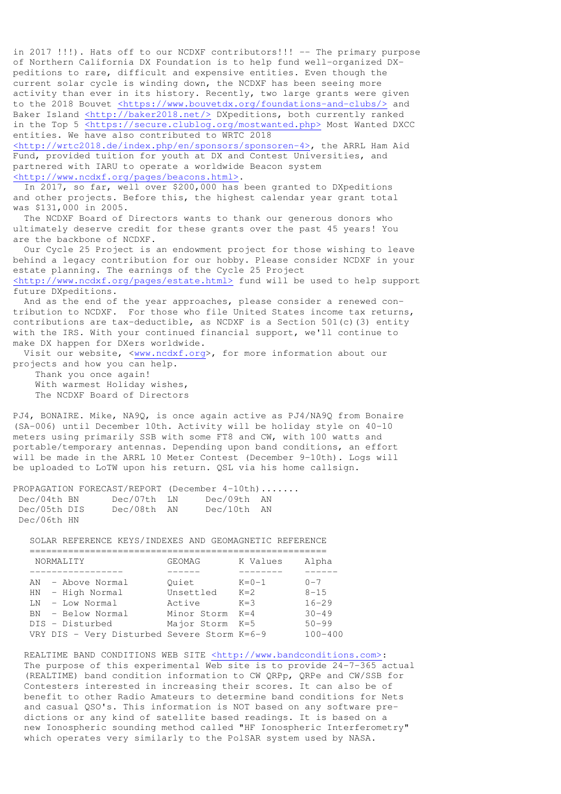in 2017 !!!). Hats off to our NCDXF contributors!!! -- The primary purpose of Northern California DX Foundation is to help fund well-organized DXpeditions to rare, difficult and expensive entities. Even though the current solar cycle is winding down, the NCDXF has been seeing more activity than ever in its history. Recently, two large grants were given to the 2018 Bouvet <https://www.bouvetdx.org/foundations-and-clubs/> and Baker Island <http://baker2018.net/> DXpeditions, both currently ranked in the Top 5 <https://secure.clublog.org/mostwanted.php> Most Wanted DXCC entities. We have also contributed to WRTC 2018

<http://wrtc2018.de/index.php/en/sponsors/sponsoren-4>, the ARRL Ham Aid Fund, provided tuition for youth at DX and Contest Universities, and partnered with IARU to operate a worldwide Beacon system <http://www.ncdxf.org/pages/beacons.html>.

 In 2017, so far, well over \$200,000 has been granted to DXpeditions and other projects. Before this, the highest calendar year grant total was \$131,000 in 2005.

 The NCDXF Board of Directors wants to thank our generous donors who ultimately deserve credit for these grants over the past 45 years! You are the backbone of NCDXF.

 Our Cycle 25 Project is an endowment project for those wishing to leave behind a legacy contribution for our hobby. Please consider NCDXF in your estate planning. The earnings of the Cycle 25 Project

<http://www.ncdxf.org/pages/estate.html> fund will be used to help support future DXpeditions.

 And as the end of the year approaches, please consider a renewed contribution to NCDXF. For those who file United States income tax returns, contributions are tax-deductible, as NCDXF is a Section 501(c)(3) entity with the IRS. With your continued financial support, we'll continue to make DX happen for DXers worldwide.

 Visit our website, <www.ncdxf.org>, for more information about our projects and how you can help.

 Thank you once again! With warmest Holiday wishes, The NCDXF Board of Directors

PJ4, BONAIRE. Mike, NA9Q, is once again active as PJ4/NA9Q from Bonaire (SA-006) until December 10th. Activity will be holiday style on 40-10 meters using primarily SSB with some FT8 and CW, with 100 watts and portable/temporary antennas. Depending upon band conditions, an effort will be made in the ARRL 10 Meter Contest (December 9-10th). Logs will be uploaded to LoTW upon his return. QSL via his home callsign.

|              | PROPAGATION FORECAST/REPORT (December 4-10th) |             |  |
|--------------|-----------------------------------------------|-------------|--|
| Dec/04th BN  | Dec/07th LN                                   | Dec/09th AN |  |
| Dec/05th DIS | Dec/08th AN                                   | Dec/10th AN |  |
| Dec/06th HN  |                                               |             |  |

SOLAR REFERENCE KEYS/INDEXES AND GEOMAGNETIC REFERENCE

| <b>NORMALITY</b>                            | GEOMAG          | K Values    | Alpha       |
|---------------------------------------------|-----------------|-------------|-------------|
|                                             |                 |             |             |
| AN - Above Normal                           | Ouiet           | $K = 0 - 1$ | $0 - 7$     |
| HN - High Normal                            | Unsettled       | $K=2$       | $8 - 15$    |
| $LN - Low Normal$                           | Active          | $K = 3$     | $16 - 29$   |
| BN - Below Normal                           | Minor Storm     | $K = 4$     | $30 - 49$   |
| DIS - Disturbed                             | Major Storm K=5 |             | $50 - 99$   |
| VRY DIS - Very Disturbed Severe Storm K=6-9 |                 |             | $100 - 400$ |

REALTIME BAND CONDITIONS WEB SITE <http://www.bandconditions.com>: The purpose of this experimental Web site is to provide 24-7-365 actual (REALTIME) band condition information to CW QRPp, QRPe and CW/SSB for Contesters interested in increasing their scores. It can also be of benefit to other Radio Amateurs to determine band conditions for Nets and casual QSO's. This information is NOT based on any software pre dictions or any kind of satellite based readings. It is based on a new Ionospheric sounding method called "HF Ionospheric Interferometry" which operates very similarly to the PolSAR system used by NASA.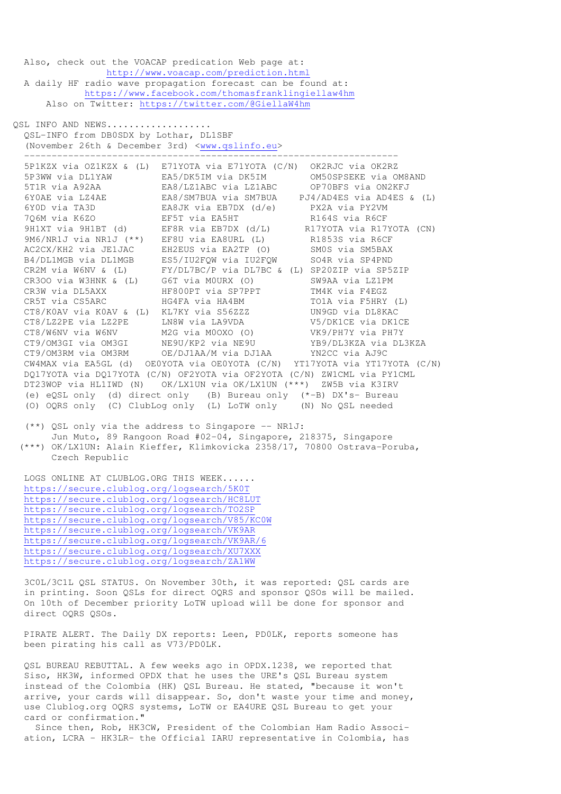Also, check out the VOACAP predication Web page at: http://www.voacap.com/prediction.html A daily HF radio wave propagation forecast can be found at: https://www.facebook.com/thomasfranklingiellaw4hm Also on Twitter: https://twitter.com/@GiellaW4hm

OSL INFO AND NEWS..................

 QSL-INFO from DB0SDX by Lothar, DL1SBF (November 26th & December 3rd) <www.qslinfo.eu> --------------------------------------------------------------------

 5P1KZX via OZ1KZX & (L) E71YOTA via E71YOTA (C/N) OK2RJC via OK2RZ 5P3WW via DL1YAW EA5/DK5IM via DK5IM OM50SPSEKE via OM8AND 5T1R via A92AA EA8/LZ1ABC via LZ1ABC OP70BFS via ON2KFJ 6Y0AE via LZ4AE EA8/SM7BUA via SM7BUA PJ4/AD4ES via AD4ES & (L) 6Y0D via TA3D EA8JK via EB7DX (d/e) PX2A via PY2VM 7Q6M via K6ZO EF5T via EA5HT R164S via R6CF 9H1XT via 9H1BT (d) EF8R via EB7DX (d/L) R17YOTA via R17YOTA (CN) 9M6/NR1J via NR1J (\*\*) EF8U via EA8URL (L) R1853S via R6CF AC2CX/KH2 via JE1JAC EH2EUS via EA2TP (O) SM0S via SM5BAX B4/DL1MGB via DL1MGB ES5/IU2FQW via IU2FQW SO4R via SP4PND CR2M via W6NV & (L) FY/DL7BC/P via DL7BC & (L) SP20ZIP via SP5ZIP CR3OO via W3HNK & (L) G6T via M0URX (O) SW9AA via LZ1PM CR3W via DL5AXX HF800PT via SP7PPT TM4K via F4EGZ CR5T via CS5ARC HG4FA via HA4BM TO1A via F5HRY (L) CT8/K0AV via K0AV & (L) KL7KY via S56ZZZ UN9GD via DL8KAC CT8/LZ2PE via LZ2PE LN8W via LA9VDA V5/DK1CE via DK1CE CT8/W6NV via W6NV M2G via M0OXO (O) VK9/PH7Y via PH7Y CT9/OM3GI via OM3GI NE9U/KP2 via NE9U YB9/DL3KZA via DL3KZA CT9/OM3RM via OM3RM OE/DJ1AA/M via DJ1AA YN2CC via AJ9C CW4MAX via EA5GL (d) OE0YOTA via OE0YOTA (C/N) YT17YOTA via YT17YOTA (C/N) DQ17YOTA via DQ17YOTA (C/N) OF2YOTA via OF2YOTA (C/N) ZW1CML via PY1CML DT23WOP via HL1IWD (N) OK/LX1UN via OK/LX1UN (\*\*\*) ZW5B via K3IRV (e) eQSL only (d) direct only (B) Bureau only (\*-B) DX's- Bureau (O) OQRS only (C) ClubLog only (L) LoTW only (N) No QSL needed

 (\*\*) QSL only via the address to Singapore -- NR1J: Jun Muto, 89 Rangoon Road #02-04, Singapore, 218375, Singapore (\*\*\*) OK/LX1UN: Alain Kieffer, Klimkovicka 2358/17, 70800 Ostrava-Poruba,

Czech Republic

 LOGS ONLINE AT CLUBLOG.ORG THIS WEEK...... https://secure.clublog.org/logsearch/5K0T https://secure.clublog.org/logsearch/HC8LUT https://secure.clublog.org/logsearch/TO2SP https://secure.clublog.org/logsearch/V85/KC0W https://secure.clublog.org/logsearch/VK9AR https://secure.clublog.org/logsearch/VK9AR/6 https://secure.clublog.org/logsearch/XU7XXX https://secure.clublog.org/logsearch/ZA1WW

 3C0L/3C1L QSL STATUS. On November 30th, it was reported: QSL cards are in printing. Soon QSLs for direct OQRS and sponsor QSOs will be mailed. On 10th of December priority LoTW upload will be done for sponsor and direct OQRS QSOs.

 PIRATE ALERT. The Daily DX reports: Leen, PD0LK, reports someone has been pirating his call as V73/PD0LK.

 QSL BUREAU REBUTTAL. A few weeks ago in OPDX.1238, we reported that Siso, HK3W, informed OPDX that he uses the URE's QSL Bureau system instead of the Colombia (HK) QSL Bureau. He stated, "because it won't arrive, your cards will disappear. So, don't waste your time and money, use Clublog.org OQRS systems, LoTW or EA4URE QSL Bureau to get your card or confirmation."

 Since then, Rob, HK3CW, President of the Colombian Ham Radio Associ ation, LCRA - HK3LR- the Official IARU representative in Colombia, has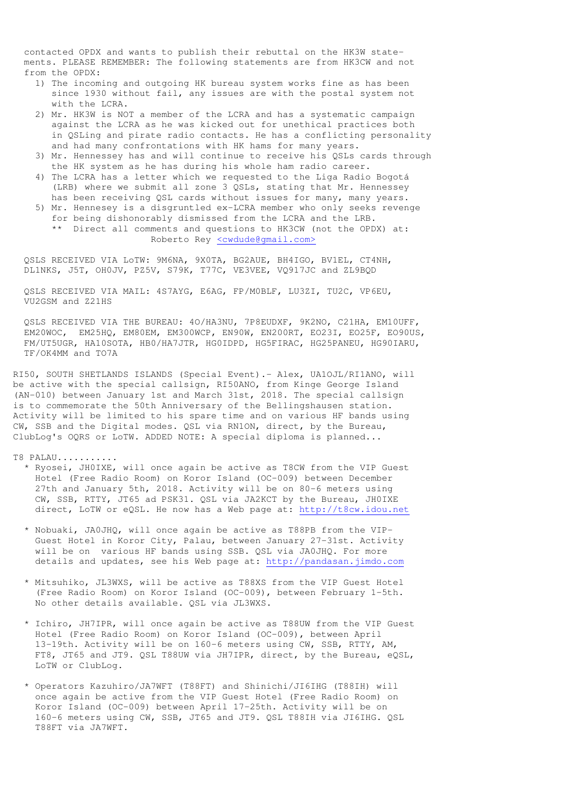contacted OPDX and wants to publish their rebuttal on the HK3W state ments. PLEASE REMEMBER: The following statements are from HK3CW and not from the OPDX:

- 1) The incoming and outgoing HK bureau system works fine as has been since 1930 without fail, any issues are with the postal system not with the LCRA.
- 2) Mr. HK3W is NOT a member of the LCRA and has a systematic campaign against the LCRA as he was kicked out for unethical practices both in QSLing and pirate radio contacts. He has a conflicting personality and had many confrontations with HK hams for many years.
- 3) Mr. Hennessey has and will continue to receive his QSLs cards through the HK system as he has during his whole ham radio career.
- 4) The LCRA has a letter which we requested to the Liga Radio Bogotá (LRB) where we submit all zone 3 QSLs, stating that Mr. Hennessey has been receiving QSL cards without issues for many, many years.
- 5) Mr. Hennesey is a disgruntled ex-LCRA member who only seeks revenge for being dishonorably dismissed from the LCRA and the LRB. \*\* Direct all comments and questions to HK3CW (not the OPDX) at: Roberto Rey <cwdude@gmail.com>

 QSLS RECEIVED VIA LoTW: 9M6NA, 9X0TA, BG2AUE, BH4IGO, BV1EL, CT4NH, DL1NKS, J5T, OH0JV, PZ5V, S79K, T77C, VE3VEE, VQ917JC and ZL9BQD

 QSLS RECEIVED VIA MAIL: 4S7AYG, E6AG, FP/M0BLF, LU3ZI, TU2C, VP6EU, VU2GSM and Z21HS

 QSLS RECEIVED VIA THE BUREAU: 4O/HA3NU, 7P8EUDXF, 9K2NO, C21HA, EM10UFF, EM20WOC, EM25HQ, EM80EM, EM300WCP, EN90W, EN200RT, EO23I, EO25F, EO90US, FM/UT5UGR, HA10SOTA, HB0/HA7JTR, HG0IDPD, HG5FIRAC, HG25PANEU, HG90IARU, TF/OK4MM and TO7A

RI50, SOUTH SHETLANDS ISLANDS (Special Event).- Alex, UA1OJL/RI1ANO, will be active with the special callsign, RI50ANO, from Kinge George Island (AN-010) between January 1st and March 31st, 2018. The special callsign is to commemorate the 50th Anniversary of the Bellingshausen station. Activity will be limited to his spare time and on various HF bands using CW, SSB and the Digital modes. QSL via RN1ON, direct, by the Bureau, ClubLog's OQRS or LoTW. ADDED NOTE: A special diploma is planned...

T8 PALAU...........

- \* Ryosei, JH0IXE, will once again be active as T8CW from the VIP Guest Hotel (Free Radio Room) on Koror Island (OC-009) between December 27th and January 5th, 2018. Activity will be on 80-6 meters using CW, SSB, RTTY, JT65 ad PSK31. QSL via JA2KCT by the Bureau, JH0IXE direct, LoTW or eQSL. He now has a Web page at: http://t8cw.idou.net
- \* Nobuaki, JA0JHQ, will once again be active as T88PB from the VIP- Guest Hotel in Koror City, Palau, between January 27-31st. Activity will be on various HF bands using SSB. QSL via JA0JHQ. For more details and updates, see his Web page at: http://pandasan.jimdo.com
- \* Mitsuhiko, JL3WXS, will be active as T88XS from the VIP Guest Hotel (Free Radio Room) on Koror Island (OC-009), between February 1-5th. No other details available. QSL via JL3WXS.
- \* Ichiro, JH7IPR, will once again be active as T88UW from the VIP Guest Hotel (Free Radio Room) on Koror Island (OC-009), between April 13-19th. Activity will be on 160-6 meters using CW, SSB, RTTY, AM, FT8, JT65 and JT9. QSL T88UW via JH7IPR, direct, by the Bureau, eQSL, LoTW or ClubLog.
- \* Operators Kazuhiro/JA7WFT (T88FT) and Shinichi/JI6IHG (T88IH) will once again be active from the VIP Guest Hotel (Free Radio Room) on Koror Island (OC-009) between April 17-25th. Activity will be on 160-6 meters using CW, SSB, JT65 and JT9. QSL T88IH via JI6IHG. QSL T88FT via JA7WFT.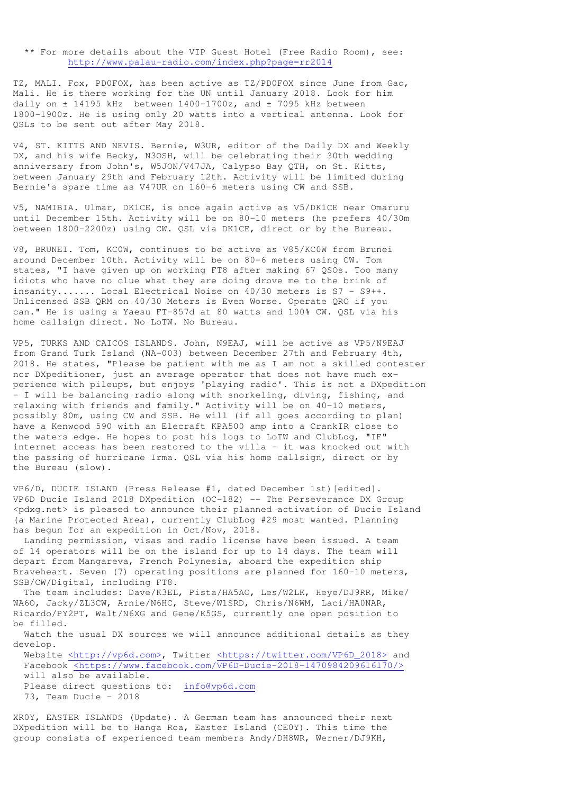\*\* For more details about the VIP Guest Hotel (Free Radio Room), see: http://www.palau-radio.com/index.php?page=rr2014

TZ, MALI. Fox, PD0FOX, has been active as TZ/PD0FOX since June from Gao, Mali. He is there working for the UN until January 2018. Look for him daily on  $\pm$  14195 kHz between 1400-1700z, and  $\pm$  7095 kHz between 1800-1900z. He is using only 20 watts into a vertical antenna. Look for QSLs to be sent out after May 2018.

V4, ST. KITTS AND NEVIS. Bernie, W3UR, editor of the Daily DX and Weekly DX, and his wife Becky, N3OSH, will be celebrating their 30th wedding anniversary from John's, W5JON/V47JA, Calypso Bay QTH, on St. Kitts, between January 29th and February 12th. Activity will be limited during Bernie's spare time as V47UR on 160-6 meters using CW and SSB.

V5, NAMIBIA. Ulmar, DK1CE, is once again active as V5/DK1CE near Omaruru until December 15th. Activity will be on 80-10 meters (he prefers 40/30m between 1800-2200z) using CW. QSL via DK1CE, direct or by the Bureau.

V8, BRUNEI. Tom, KC0W, continues to be active as V85/KC0W from Brunei around December 10th. Activity will be on 80-6 meters using CW. Tom states, "I have given up on working FT8 after making 67 QSOs. Too many idiots who have no clue what they are doing drove me to the brink of insanity....... Local Electrical Noise on 40/30 meters is S7 - S9++. Unlicensed SSB QRM on 40/30 Meters is Even Worse. Operate QRO if you can." He is using a Yaesu FT-857d at 80 watts and 100% CW. QSL via his home callsign direct. No LoTW. No Bureau.

VP5, TURKS AND CAICOS ISLANDS. John, N9EAJ, will be active as VP5/N9EAJ from Grand Turk Island (NA-003) between December 27th and February 4th, 2018. He states, "Please be patient with me as I am not a skilled contester nor DXpeditioner, just an average operator that does not have much experience with pileups, but enjoys 'playing radio'. This is not a DXpedition - I will be balancing radio along with snorkeling, diving, fishing, and relaxing with friends and family." Activity will be on 40-10 meters, possibly 80m, using CW and SSB. He will (if all goes according to plan) have a Kenwood 590 with an Elecraft KPA500 amp into a CrankIR close to the waters edge. He hopes to post his logs to LoTW and ClubLog, "IF" internet access has been restored to the villa - it was knocked out with the passing of hurricane Irma. QSL via his home callsign, direct or by the Bureau (slow).

VP6/D, DUCIE ISLAND (Press Release #1, dated December 1st)[edited]. VP6D Ducie Island 2018 DXpedition (OC-182) -- The Perseverance DX Group <pdxg.net> is pleased to announce their planned activation of Ducie Island (a Marine Protected Area), currently ClubLog #29 most wanted. Planning has begun for an expedition in Oct/Nov, 2018.

 Landing permission, visas and radio license have been issued. A team of 14 operators will be on the island for up to 14 days. The team will depart from Mangareva, French Polynesia, aboard the expedition ship Braveheart. Seven (7) operating positions are planned for 160-10 meters, SSB/CW/Digital, including FT8.

 The team includes: Dave/K3EL, Pista/HA5AO, Les/W2LK, Heye/DJ9RR, Mike/ WA6O, Jacky/ZL3CW, Arnie/N6HC, Steve/W1SRD, Chris/N6WM, Laci/HA0NAR, Ricardo/PY2PT, Walt/N6XG and Gene/K5GS, currently one open position to be filled.

 Watch the usual DX sources we will announce additional details as they develop.

 Website <http://vp6d.com>, Twitter <https://twitter.com/VP6D\_2018> and Facebook <https://www.facebook.com/VP6D-Ducie-2018-1470984209616170/> will also be available. Please direct questions to: info@vp6d.com

73, Team Ducie – 2018

XR0Y, EASTER ISLANDS (Update). A German team has announced their next DXpedition will be to Hanga Roa, Easter Island (CE0Y). This time the group consists of experienced team members Andy/DH8WR, Werner/DJ9KH,